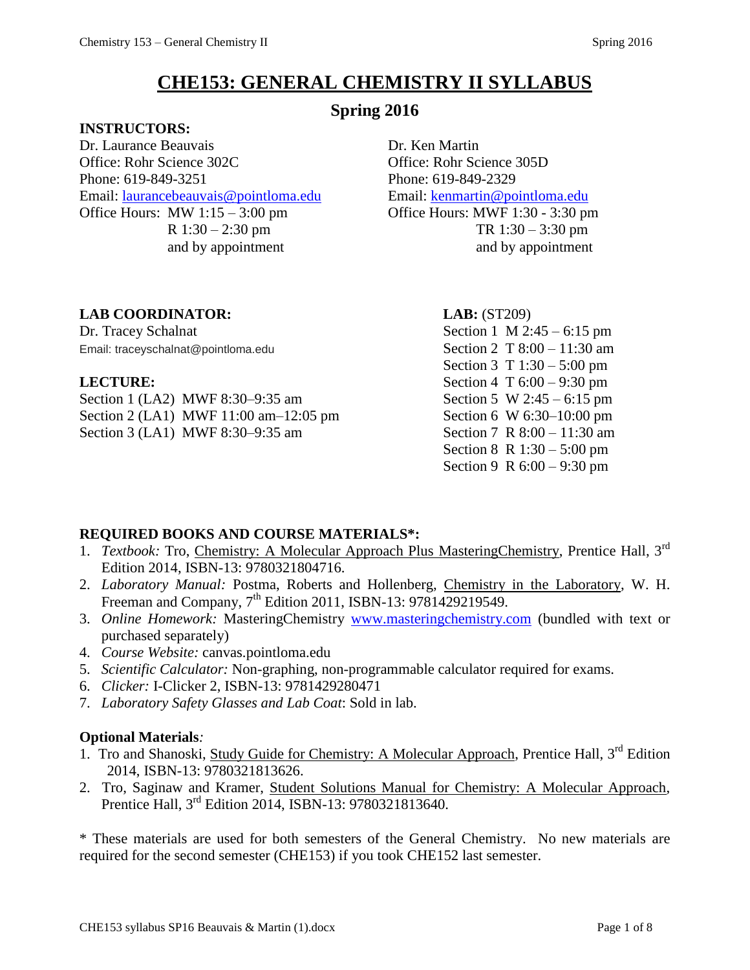# **CHE153: GENERAL CHEMISTRY II SYLLABUS**

### **Spring 2016**

**INSTRUCTORS:**

Dr. Laurance Beauvais Dr. Ken Martin Office: Rohr Science 302C Office: Rohr Science 305D Phone: 619-849-3251 Phone: 619-849-2329 Email: [laurancebeauvais@pointloma.edu](mailto:laurancebeauvais@pointloma.edu) Email: [kenmartin@pointloma.edu](mailto:kenmartin@pointloma.edu) Office Hours: MW 1:15 – 3:00 pm Office Hours: MWF 1:30 - 3:30 pm

R 1:30 – 2:30 pm TR 1:30 – 3:30 pm and by appointment and by appointment

#### **LAB COORDINATOR: LAB:** (ST209)

Dr. Tracey Schalnat Section 1 M 2:45 – 6:15 pm Email: traceyschalnat@pointloma.edu Section 2 T 8:00 – 11:30 am

Section 1 (LA2) MWF 8:30–9:35 am Section 5 W 2:45 – 6:15 pm Section 2 (LA1) MWF 11:00 am–12:05 pm Section 6 W 6:30–10:00 pm Section 3 (LA1) MWF 8:30–9:35 am Section 7 R 8:00 – 11:30 am

Section 3 T 1:30 – 5:00 pm **LECTURE:** Section 4 T 6:00 – 9:30 pm Section 8 R 1:30 – 5:00 pm Section 9 R 6:00 – 9:30 pm

#### **REQUIRED BOOKS AND COURSE MATERIALS\*:**

- 1. *Textbook:* Tro, *Chemistry: A Molecular Approach Plus MasteringChemistry*, Prentice Hall, 3<sup>rd</sup> Edition 2014, ISBN-13: 9780321804716.
- 2. *Laboratory Manual:* Postma, Roberts and Hollenberg, Chemistry in the Laboratory, W. H. Freeman and Company, 7<sup>th</sup> Edition 2011, ISBN-13: 9781429219549.
- 3. *Online Homework:* MasteringChemistry [www.masteringchemistry.com](http://www.masteringchemistry.com/) (bundled with text or purchased separately)
- 4. *Course Website:* canvas.pointloma.edu
- 5. *Scientific Calculator:* Non-graphing, non-programmable calculator required for exams.
- 6. *Clicker:* I-Clicker 2, ISBN-13: 9781429280471
- 7. *Laboratory Safety Glasses and Lab Coat*: Sold in lab.

#### **Optional Materials***:*

- 1. Tro and Shanoski, Study Guide for Chemistry: A Molecular Approach, Prentice Hall, 3<sup>rd</sup> Edition 2014, ISBN-13: 9780321813626.
- 2. Tro, Saginaw and Kramer, Student Solutions Manual for Chemistry: A Molecular Approach, Prentice Hall, 3rd Edition 2014, ISBN-13: 9780321813640.

\* These materials are used for both semesters of the General Chemistry. No new materials are required for the second semester (CHE153) if you took CHE152 last semester.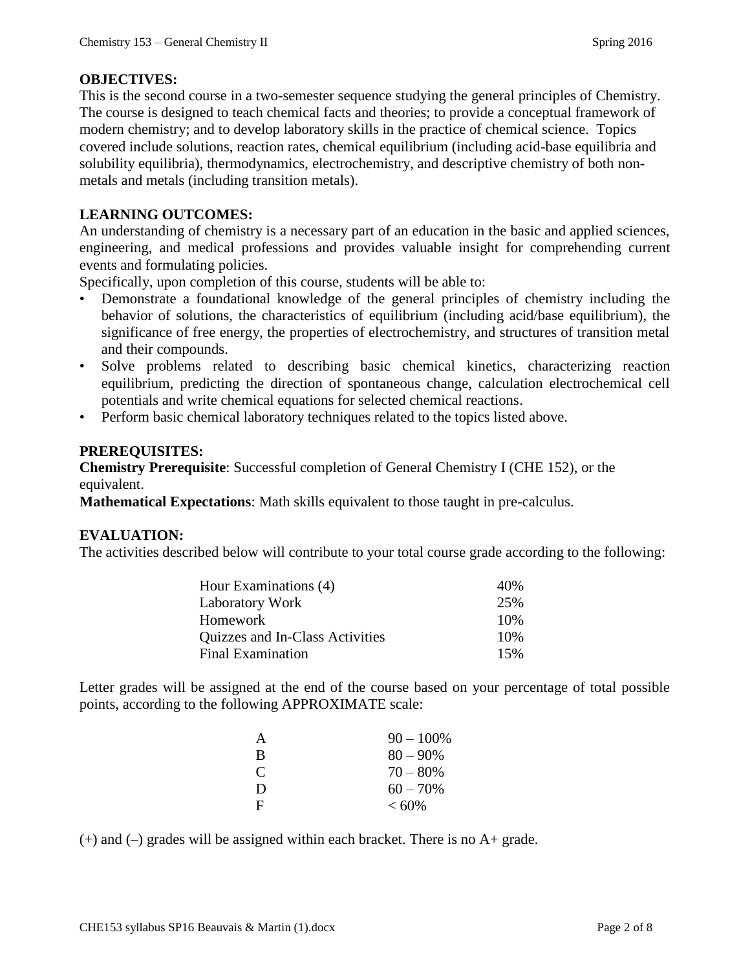#### **OBJECTIVES:**

This is the second course in a two-semester sequence studying the general principles of Chemistry. The course is designed to teach chemical facts and theories; to provide a conceptual framework of modern chemistry; and to develop laboratory skills in the practice of chemical science. Topics covered include solutions, reaction rates, chemical equilibrium (including acid-base equilibria and solubility equilibria), thermodynamics, electrochemistry, and descriptive chemistry of both nonmetals and metals (including transition metals).

#### **LEARNING OUTCOMES:**

An understanding of chemistry is a necessary part of an education in the basic and applied sciences, engineering, and medical professions and provides valuable insight for comprehending current events and formulating policies.

Specifically, upon completion of this course, students will be able to:

- Demonstrate a foundational knowledge of the general principles of chemistry including the behavior of solutions, the characteristics of equilibrium (including acid/base equilibrium), the significance of free energy, the properties of electrochemistry, and structures of transition metal and their compounds.
- Solve problems related to describing basic chemical kinetics, characterizing reaction equilibrium, predicting the direction of spontaneous change, calculation electrochemical cell potentials and write chemical equations for selected chemical reactions.
- Perform basic chemical laboratory techniques related to the topics listed above.

#### **PREREQUISITES:**

**Chemistry Prerequisite**: Successful completion of General Chemistry I (CHE 152), or the equivalent.

**Mathematical Expectations**: Math skills equivalent to those taught in pre-calculus.

#### **EVALUATION:**

The activities described below will contribute to your total course grade according to the following:

| Hour Examinations (4)           | 40\% |
|---------------------------------|------|
| <b>Laboratory Work</b>          | 25%  |
| Homework                        | 10%  |
| Quizzes and In-Class Activities | 10%  |
| <b>Final Examination</b>        | 15%  |

Letter grades will be assigned at the end of the course based on your percentage of total possible points, according to the following APPROXIMATE scale:

| A             | $90 - 100\%$ |
|---------------|--------------|
| B             | $80 - 90\%$  |
| $\mathcal{C}$ | $70 - 80%$   |
| D             | $60 - 70\%$  |
| $\mathbf{F}$  | $< 60\%$     |

 $(+)$  and  $(-)$  grades will be assigned within each bracket. There is no A+ grade.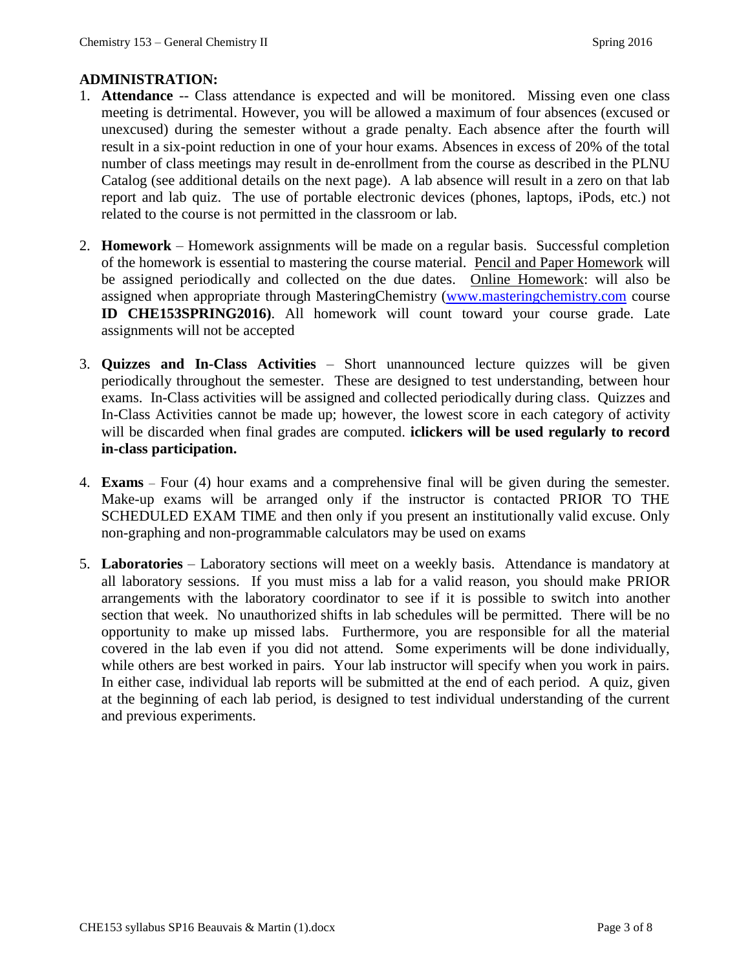#### **ADMINISTRATION:**

- 1. **Attendance** -- Class attendance is expected and will be monitored. Missing even one class meeting is detrimental. However, you will be allowed a maximum of four absences (excused or unexcused) during the semester without a grade penalty. Each absence after the fourth will result in a six-point reduction in one of your hour exams. Absences in excess of 20% of the total number of class meetings may result in de-enrollment from the course as described in the PLNU Catalog (see additional details on the next page). A lab absence will result in a zero on that lab report and lab quiz. The use of portable electronic devices (phones, laptops, iPods, etc.) not related to the course is not permitted in the classroom or lab.
- 2. **Homework**  Homework assignments will be made on a regular basis. Successful completion of the homework is essential to mastering the course material. Pencil and Paper Homework will be assigned periodically and collected on the due dates. Online Homework: will also be assigned when appropriate through MasteringChemistry [\(www.masteringchemistry.com](http://www.masteringchemistry.com/) course **ID CHE153SPRING2016)**. All homework will count toward your course grade. Late assignments will not be accepted
- 3. **Quizzes and In-Class Activities** Short unannounced lecture quizzes will be given periodically throughout the semester. These are designed to test understanding, between hour exams. In-Class activities will be assigned and collected periodically during class. Quizzes and In-Class Activities cannot be made up; however, the lowest score in each category of activity will be discarded when final grades are computed. **iclickers will be used regularly to record in-class participation.**
- 4. **Exams** Four (4) hour exams and a comprehensive final will be given during the semester. Make-up exams will be arranged only if the instructor is contacted PRIOR TO THE SCHEDULED EXAM TIME and then only if you present an institutionally valid excuse. Only non-graphing and non-programmable calculators may be used on exams
- 5. **Laboratories** Laboratory sections will meet on a weekly basis. Attendance is mandatory at all laboratory sessions. If you must miss a lab for a valid reason, you should make PRIOR arrangements with the laboratory coordinator to see if it is possible to switch into another section that week. No unauthorized shifts in lab schedules will be permitted. There will be no opportunity to make up missed labs. Furthermore, you are responsible for all the material covered in the lab even if you did not attend. Some experiments will be done individually, while others are best worked in pairs. Your lab instructor will specify when you work in pairs. In either case, individual lab reports will be submitted at the end of each period. A quiz, given at the beginning of each lab period, is designed to test individual understanding of the current and previous experiments.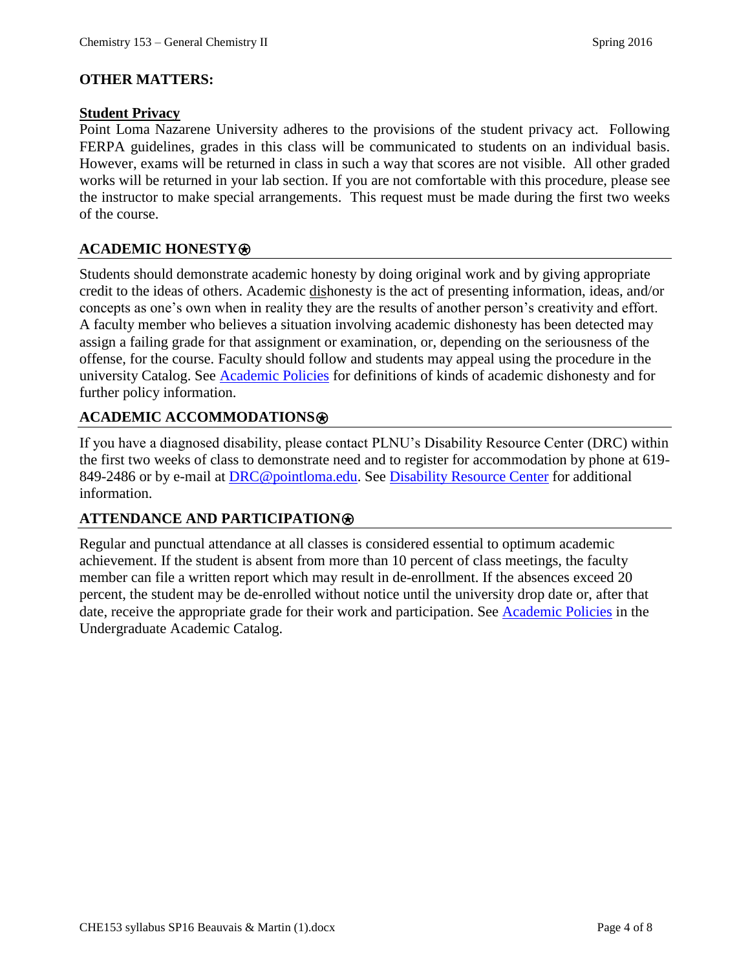#### **OTHER MATTERS:**

#### **Student Privacy**

Point Loma Nazarene University adheres to the provisions of the student privacy act. Following FERPA guidelines, grades in this class will be communicated to students on an individual basis. However, exams will be returned in class in such a way that scores are not visible. All other graded works will be returned in your lab section. If you are not comfortable with this procedure, please see the instructor to make special arrangements. This request must be made during the first two weeks of the course.

#### **ACADEMIC HONESTY**⍟

Students should demonstrate academic honesty by doing original work and by giving appropriate credit to the ideas of others. Academic dishonesty is the act of presenting information, ideas, and/or concepts as one's own when in reality they are the results of another person's creativity and effort. A faculty member who believes a situation involving academic dishonesty has been detected may assign a failing grade for that assignment or examination, or, depending on the seriousness of the offense, for the course. Faculty should follow and students may appeal using the procedure in the university Catalog. See **[Academic Policies](http://catalog.pointloma.edu/content.php?catoid=18&navoid=1278)** for definitions of kinds of academic dishonesty and for further policy information.

#### **ACADEMIC ACCOMMODATIONS**⍟

If you have a diagnosed disability, please contact PLNU's Disability Resource Center (DRC) within the first two weeks of class to demonstrate need and to register for accommodation by phone at 619- 849-2486 or by e-mail at [DRC@pointloma.edu.](mailto:DRC@pointloma.edu) See [Disability Resource Center](http://www.pointloma.edu/experience/offices/administrative-offices/academic-advising-office/disability-resource-center) for additional information.

#### **ATTENDANCE AND PARTICIPATION**⍟

Regular and punctual attendance at all classes is considered essential to optimum academic achievement. If the student is absent from more than 10 percent of class meetings, the faculty member can file a written report which may result in de-enrollment. If the absences exceed 20 percent, the student may be de-enrolled without notice until the university drop date or, after that date, receive the appropriate grade for their work and participation. See [Academic Policies](http://catalog.pointloma.edu/content.php?catoid=18&navoid=1278) in the Undergraduate Academic Catalog.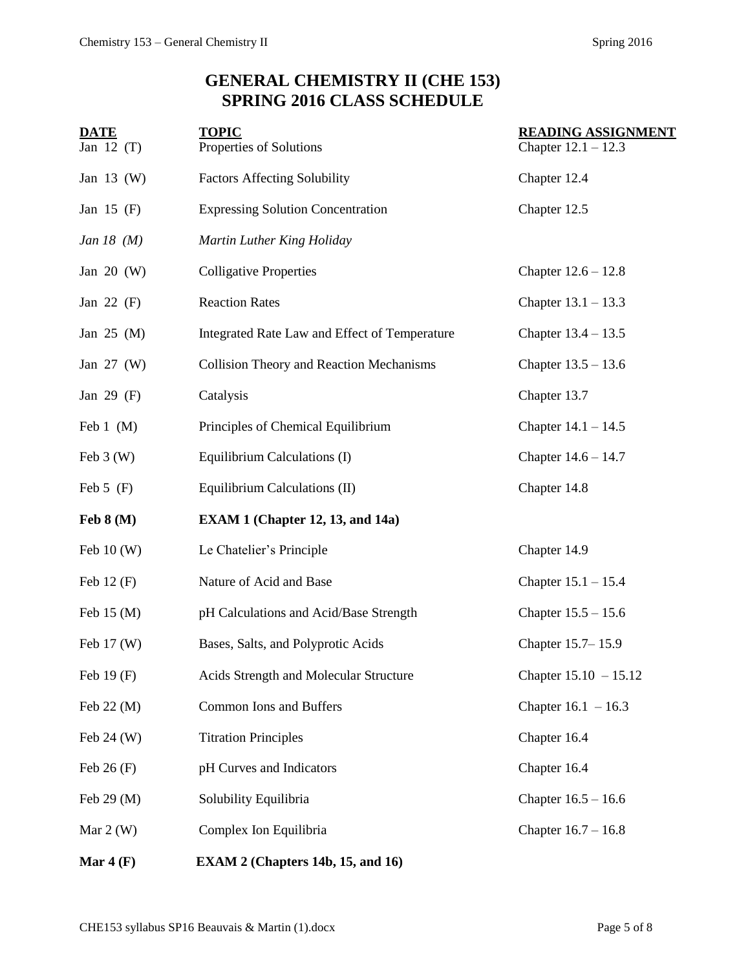# **GENERAL CHEMISTRY II (CHE 153) SPRING 2016 CLASS SCHEDULE**

| <b>DATE</b><br>Jan $12(T)$ | <b>TOPIC</b><br>Properties of Solutions                           | <b>READING ASSIGNMENT</b><br>Chapter $12.1 - 12.3$ |
|----------------------------|-------------------------------------------------------------------|----------------------------------------------------|
| Jan $13$ (W)               | <b>Factors Affecting Solubility</b>                               | Chapter 12.4                                       |
| Jan 15 $(F)$               | <b>Expressing Solution Concentration</b><br>Chapter 12.5          |                                                    |
| Jan 18 $(M)$               | Martin Luther King Holiday                                        |                                                    |
| Jan $20$ (W)               | <b>Colligative Properties</b>                                     | Chapter $12.6 - 12.8$                              |
| Jan $22$ (F)               | <b>Reaction Rates</b>                                             | Chapter $13.1 - 13.3$                              |
| Jan $25$ (M)               | Integrated Rate Law and Effect of Temperature                     | Chapter 13.4 - 13.5                                |
| Jan $27 \, (W)$            | <b>Collision Theory and Reaction Mechanisms</b>                   | Chapter $13.5 - 13.6$                              |
| Jan 29 $(F)$               | Catalysis                                                         | Chapter 13.7                                       |
| Feb $1$ (M)                | Principles of Chemical Equilibrium                                | Chapter $14.1 - 14.5$                              |
| Feb $3(W)$                 | Equilibrium Calculations (I)<br>Chapter $14.6 - 14.7$             |                                                    |
| Feb $5$ (F)                | Equilibrium Calculations (II)<br>Chapter 14.8                     |                                                    |
| Feb $8(M)$                 | <b>EXAM 1 (Chapter 12, 13, and 14a)</b>                           |                                                    |
| Feb $10(W)$                | Le Chatelier's Principle                                          | Chapter 14.9                                       |
| Feb $12(F)$                | Nature of Acid and Base<br>Chapter $15.1 - 15.4$                  |                                                    |
| Feb 15 (M)                 | pH Calculations and Acid/Base Strength<br>Chapter $15.5 - 15.6$   |                                                    |
| Feb $17 \, (W)$            | Chapter 15.7-15.9<br>Bases, Salts, and Polyprotic Acids           |                                                    |
| Feb $19(F)$                | Acids Strength and Molecular Structure<br>Chapter $15.10 - 15.12$ |                                                    |
| Feb 22 (M)                 | Common Ions and Buffers<br>Chapter $16.1 - 16.3$                  |                                                    |
| Feb $24 \, (W)$            | Chapter 16.4<br><b>Titration Principles</b>                       |                                                    |
| Feb $26(F)$                | pH Curves and Indicators<br>Chapter 16.4                          |                                                    |
| Feb $29 \, (M)$            | Solubility Equilibria<br>Chapter $16.5 - 16.6$                    |                                                    |
| Mar $2(W)$                 | Complex Ion Equilibria                                            | Chapter $16.7 - 16.8$                              |
|                            |                                                                   |                                                    |

**Mar 4 (F) EXAM 2 (Chapters 14b, 15, and 16)**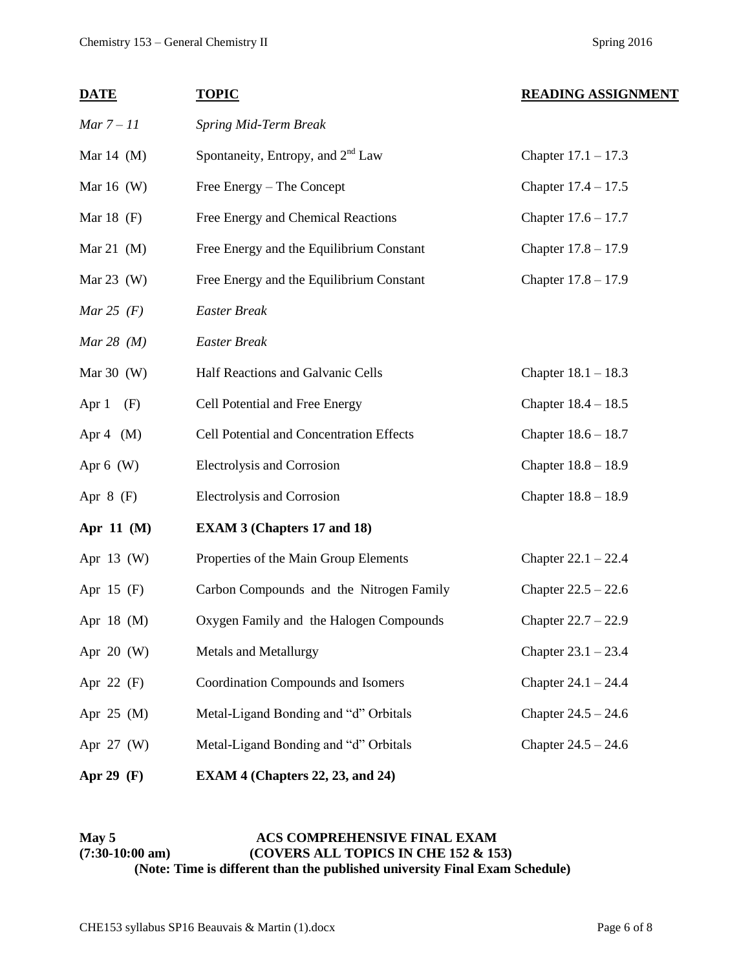| <b>DATE</b>     | <b>TOPIC</b>                                                       | <b>READING ASSIGNMENT</b> |
|-----------------|--------------------------------------------------------------------|---------------------------|
| $Mar 7-11$      | Spring Mid-Term Break                                              |                           |
| Mar $14$ (M)    | Spontaneity, Entropy, and $2nd$ Law                                | Chapter $17.1 - 17.3$     |
| Mar $16$ (W)    | Free Energy – The Concept<br>Chapter $17.4 - 17.5$                 |                           |
| Mar $18$ (F)    | Free Energy and Chemical Reactions<br>Chapter $17.6 - 17.7$        |                           |
| Mar 21 $(M)$    | Free Energy and the Equilibrium Constant<br>Chapter 17.8 - 17.9    |                           |
| Mar $23$ (W)    | Free Energy and the Equilibrium Constant<br>Chapter 17.8 - 17.9    |                           |
| Mar 25 $(F)$    | <b>Easter Break</b>                                                |                           |
| Mar 28 $(M)$    | <b>Easter Break</b>                                                |                           |
| Mar $30$ (W)    | Half Reactions and Galvanic Cells<br>Chapter $18.1 - 18.3$         |                           |
| Apr 1<br>(F)    | Cell Potential and Free Energy                                     | Chapter $18.4 - 18.5$     |
| Apr 4 $(M)$     | Cell Potential and Concentration Effects                           | Chapter $18.6 - 18.7$     |
| Apr $6$ (W)     | Electrolysis and Corrosion                                         | Chapter $18.8 - 18.9$     |
| Apr $8$ (F)     | Electrolysis and Corrosion                                         | Chapter $18.8 - 18.9$     |
| Apr 11 $(M)$    | <b>EXAM 3 (Chapters 17 and 18)</b>                                 |                           |
| Apr 13 (W)      | Properties of the Main Group Elements<br>Chapter $22.1 - 22.4$     |                           |
| Apr $15$ (F)    | Carbon Compounds and the Nitrogen Family<br>Chapter $22.5 - 22.6$  |                           |
| Apr $18$ (M)    | Oxygen Family and the Halogen Compounds<br>Chapter 22.7 - 22.9     |                           |
| Apr $20$ (W)    | <b>Metals and Metallurgy</b><br>Chapter $23.1 - 23.4$              |                           |
| Apr $22$ (F)    | <b>Coordination Compounds and Isomers</b><br>Chapter $24.1 - 24.4$ |                           |
| Apr $25 \, (M)$ | Metal-Ligand Bonding and "d" Orbitals<br>Chapter $24.5 - 24.6$     |                           |
| Apr $27 \, (W)$ | Metal-Ligand Bonding and "d" Orbitals<br>Chapter $24.5 - 24.6$     |                           |
| Apr 29 $(F)$    | <b>EXAM 4 (Chapters 22, 23, and 24)</b>                            |                           |

#### May 5 **ACS COMPREHENSIVE FINAL EXAM (7:30-10:00 am) (COVERS ALL TOPICS IN CHE 152 & 153) (Note: Time is different than the published university Final Exam Schedule)**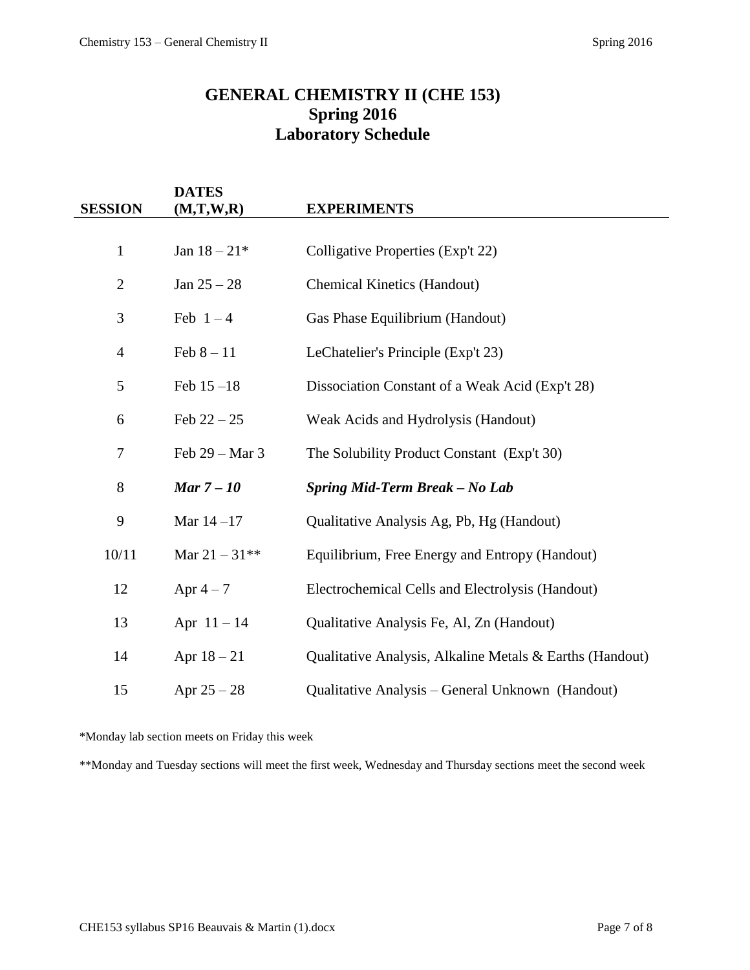## **GENERAL CHEMISTRY II (CHE 153) Spring 2016 Laboratory Schedule**

| <b>SESSION</b> | <b>DATES</b><br>(M,T,W,R) | <b>EXPERIMENTS</b>                                       |
|----------------|---------------------------|----------------------------------------------------------|
|                |                           |                                                          |
| $\mathbf{1}$   | Jan $18 - 21*$            | Colligative Properties (Exp't 22)                        |
| $\mathbf{2}$   | Jan $25 - 28$             | <b>Chemical Kinetics (Handout)</b>                       |
| 3              | Feb $1-4$                 | Gas Phase Equilibrium (Handout)                          |
| $\overline{4}$ | Feb $8 - 11$              | LeChatelier's Principle (Exp't 23)                       |
| 5              | Feb $15 - 18$             | Dissociation Constant of a Weak Acid (Exp't 28)          |
| 6              | Feb $22 - 25$             | Weak Acids and Hydrolysis (Handout)                      |
| 7              | Feb 29 – Mar 3            | The Solubility Product Constant (Exp't 30)               |
| 8              | Mar $7-10$                | Spring Mid-Term Break - No Lab                           |
| 9              | Mar $14 - 17$             | Qualitative Analysis Ag, Pb, Hg (Handout)                |
| 10/11          | Mar $21 - 31**$           | Equilibrium, Free Energy and Entropy (Handout)           |
| 12             | Apr $4-7$                 | Electrochemical Cells and Electrolysis (Handout)         |
| 13             | Apr $11 - 14$             | Qualitative Analysis Fe, Al, Zn (Handout)                |
| 14             | Apr $18 - 21$             | Qualitative Analysis, Alkaline Metals & Earths (Handout) |
| 15             | Apr $25 - 28$             | Qualitative Analysis – General Unknown (Handout)         |

\*Monday lab section meets on Friday this week

\*\*Monday and Tuesday sections will meet the first week, Wednesday and Thursday sections meet the second week